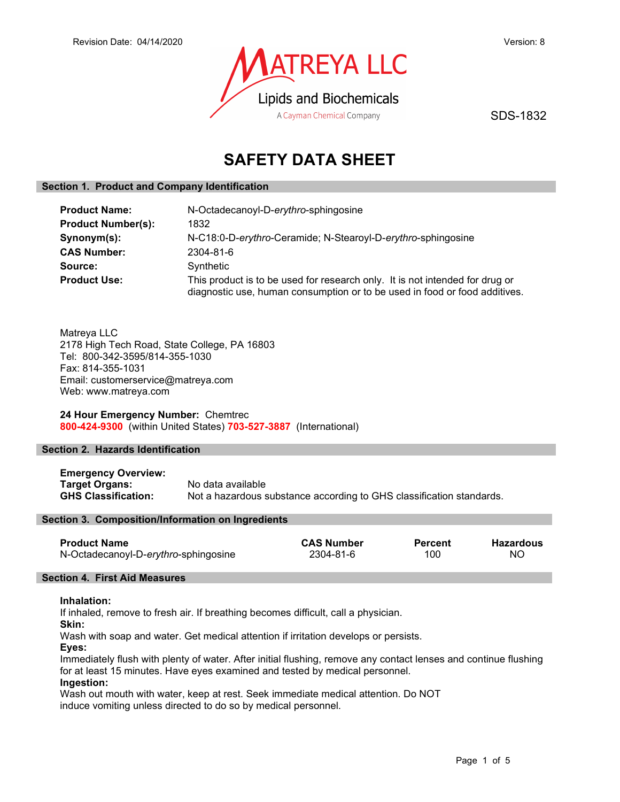

SDS-1832

# SAFETY DATA SHEET

## Section 1. Product and Company Identification

| <b>Product Name:</b>      | N-Octadecanoyl-D-erythro-sphingosine                                                                                                                       |  |  |
|---------------------------|------------------------------------------------------------------------------------------------------------------------------------------------------------|--|--|
| <b>Product Number(s):</b> | 1832                                                                                                                                                       |  |  |
| Synonym(s):               | N-C18:0-D-erythro-Ceramide; N-Stearoyl-D-erythro-sphingosine                                                                                               |  |  |
| <b>CAS Number:</b>        | 2304-81-6                                                                                                                                                  |  |  |
| Source:                   | Synthetic                                                                                                                                                  |  |  |
| <b>Product Use:</b>       | This product is to be used for research only. It is not intended for drug or<br>diagnostic use, human consumption or to be used in food or food additives. |  |  |

Matreya LLC 2178 High Tech Road, State College, PA 16803 Tel: 800-342-3595/814-355-1030 Fax: 814-355-1031 Email: customerservice@matreya.com Web: www.matreya.com

24 Hour Emergency Number: Chemtrec 800-424-9300 (within United States) 703-527-3887 (International)

## Section 2. Hazards Identification

Emergency Overview: Target Organs: No data available<br>
GHS Classification: Not a hazardous s Not a hazardous substance according to GHS classification standards.

## Section 3. Composition/Information on Ingredients

| <b>Product Name</b>                  | <b>CAS Number</b> | Percent | <b>Hazardous</b> |
|--------------------------------------|-------------------|---------|------------------|
| N-Octadecanoyl-D-erythro-sphingosine | 2304-81-6         | 100     | ΝO               |

## Section 4. First Aid Measures

#### Inhalation:

If inhaled, remove to fresh air. If breathing becomes difficult, call a physician.

Skin:

Wash with soap and water. Get medical attention if irritation develops or persists.

Eyes:

Immediately flush with plenty of water. After initial flushing, remove any contact lenses and continue flushing for at least 15 minutes. Have eyes examined and tested by medical personnel.

## Ingestion:

Wash out mouth with water, keep at rest. Seek immediate medical attention. Do NOT induce vomiting unless directed to do so by medical personnel.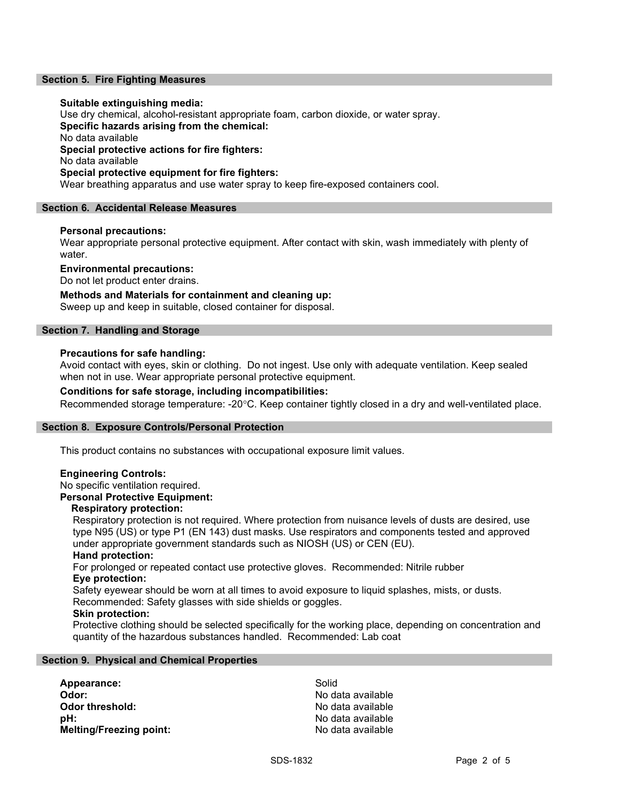## Section 5. Fire Fighting Measures

#### Suitable extinguishing media:

Use dry chemical, alcohol-resistant appropriate foam, carbon dioxide, or water spray. Specific hazards arising from the chemical: No data available Special protective actions for fire fighters: No data available Special protective equipment for fire fighters: Wear breathing apparatus and use water spray to keep fire-exposed containers cool.

#### Section 6. Accidental Release Measures

#### Personal precautions:

Wear appropriate personal protective equipment. After contact with skin, wash immediately with plenty of water.

Environmental precautions:

Do not let product enter drains.

## Methods and Materials for containment and cleaning up:

Sweep up and keep in suitable, closed container for disposal.

## Section 7. Handling and Storage

#### Precautions for safe handling:

Avoid contact with eyes, skin or clothing. Do not ingest. Use only with adequate ventilation. Keep sealed when not in use. Wear appropriate personal protective equipment.

### Conditions for safe storage, including incompatibilities:

Recommended storage temperature: -20°C. Keep container tightly closed in a dry and well-ventilated place.

#### Section 8. Exposure Controls/Personal Protection

This product contains no substances with occupational exposure limit values.

#### Engineering Controls:

No specific ventilation required.

# Personal Protective Equipment:

# Respiratory protection:

Respiratory protection is not required. Where protection from nuisance levels of dusts are desired, use type N95 (US) or type P1 (EN 143) dust masks. Use respirators and components tested and approved under appropriate government standards such as NIOSH (US) or CEN (EU).

#### Hand protection:

For prolonged or repeated contact use protective gloves. Recommended: Nitrile rubber Eye protection:

Safety eyewear should be worn at all times to avoid exposure to liquid splashes, mists, or dusts. Recommended: Safety glasses with side shields or goggles.

#### Skin protection:

Protective clothing should be selected specifically for the working place, depending on concentration and quantity of the hazardous substances handled. Recommended: Lab coat

#### Section 9. Physical and Chemical Properties

Appearance: Solid Odor: No data available **Odor threshold:** No data available pH: No data available Melting/Freezing point: No data available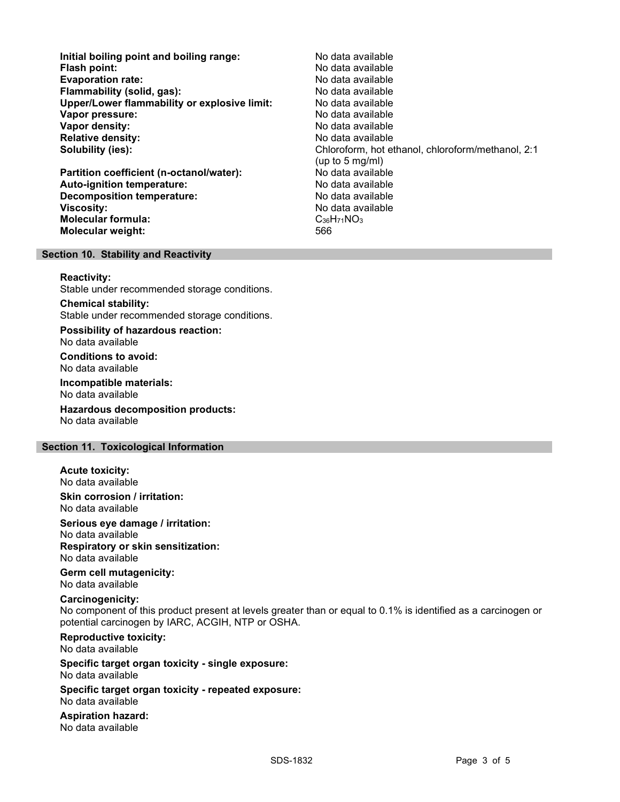Initial boiling point and boiling range: No data available Flash point: No data available Evaporation rate: Flammability (solid, gas): No data available Upper/Lower flammability or explosive limit: No data available **Vapor pressure:** No data available values and the values of the Vapor values of the Vapor values of the Vapor v Vapor density: No data available Relative density: No data available Solubility (ies): Chloroform, hot ethanol, chloroform/methanol, 2:1 (up to 5 mg/ml) Partition coefficient (n-octanol/water): Auto-ignition temperature: No data available Decomposition temperature: No data available Viscosity: No data available Molecular formula: C36H71NO3 Molecular weight: 566

#### Section 10. Stability and Reactivity

#### Reactivity:

Stable under recommended storage conditions.

Chemical stability: Stable under recommended storage conditions.

Possibility of hazardous reaction: No data available

Conditions to avoid: No data available

Incompatible materials: No data available

Hazardous decomposition products: No data available

## Section 11. Toxicological Information

Acute toxicity:

No data available

Skin corrosion / irritation: No data available

Serious eye damage / irritation:

No data available Respiratory or skin sensitization:

No data available

Germ cell mutagenicity: No data available

#### Carcinogenicity:

No component of this product present at levels greater than or equal to 0.1% is identified as a carcinogen or potential carcinogen by IARC, ACGIH, NTP or OSHA.

Reproductive toxicity: No data available

Specific target organ toxicity - single exposure: No data available

Specific target organ toxicity - repeated exposure: No data available

Aspiration hazard: No data available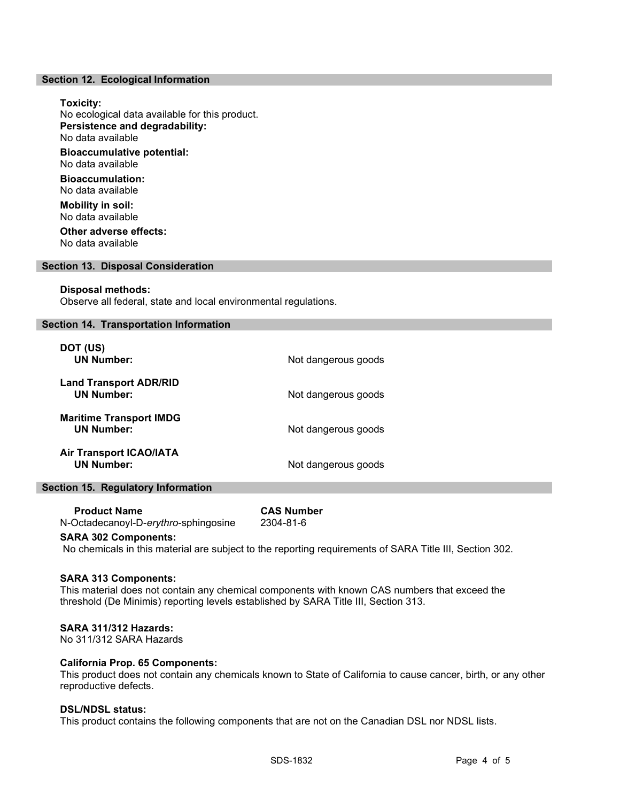#### Section 12. Ecological Information

# Toxicity: No ecological data available for this product. Persistence and degradability: No data available Bioaccumulative potential: No data available Bioaccumulation: No data available Mobility in soil: No data available Other adverse effects: No data available

#### Section 13. Disposal Consideration

#### Disposal methods:

Observe all federal, state and local environmental regulations.

## Section 14. Transportation Information

| DOT (US)<br><b>UN Number:</b>                       | Not dangerous goods |
|-----------------------------------------------------|---------------------|
| <b>Land Transport ADR/RID</b><br><b>UN Number:</b>  | Not dangerous goods |
| <b>Maritime Transport IMDG</b><br><b>UN Number:</b> | Not dangerous goods |
| <b>Air Transport ICAO/IATA</b><br><b>UN Number:</b> | Not dangerous goods |

#### Section 15. Regulatory Information

| <b>Product Name</b>                  | <b>CAS Number</b> |
|--------------------------------------|-------------------|
| N-Octadecanoyl-D-erythro-sphingosine | 2304-81-6         |

#### SARA 302 Components:

No chemicals in this material are subject to the reporting requirements of SARA Title III, Section 302.

#### SARA 313 Components:

This material does not contain any chemical components with known CAS numbers that exceed the threshold (De Minimis) reporting levels established by SARA Title III, Section 313.

## SARA 311/312 Hazards:

No 311/312 SARA Hazards

## California Prop. 65 Components:

This product does not contain any chemicals known to State of California to cause cancer, birth, or any other reproductive defects.

# DSL/NDSL status:

This product contains the following components that are not on the Canadian DSL nor NDSL lists.